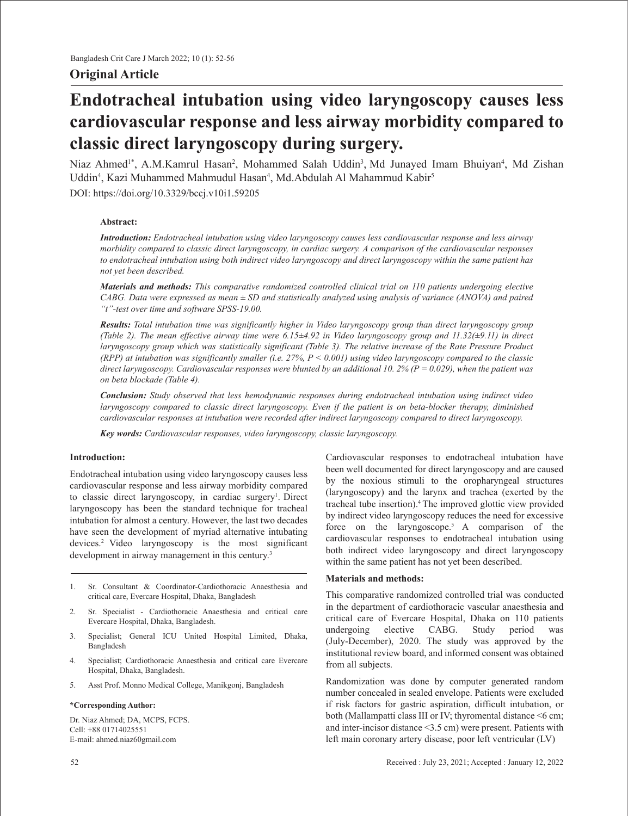# **Original Article**

# **Endotracheal intubation using video laryngoscopy causes less cardiovascular response and less airway morbidity compared to classic direct laryngoscopy during surgery.**

Niaz Ahmed<sup>1\*</sup>, A.M.Kamrul Hasan<sup>2</sup>, Mohammed Salah Uddin<sup>3</sup>, Md Junayed Imam Bhuiyan<sup>4</sup>, Md Zishan Uddin<sup>4</sup>, Kazi Muhammed Mahmudul Hasan<sup>4</sup>, Md.Abdulah Al Mahammud Kabir<sup>5</sup>

DOI: https://doi.org/10.3329/bccj.v10i1.59205

## **Abstract:**

*Introduction: Endotracheal intubation using video laryngoscopy causes less cardiovascular response and less airway morbidity compared to classic direct laryngoscopy, in cardiac surgery. A comparison of the cardiovascular responses to endotracheal intubation using both indirect video laryngoscopy and direct laryngoscopy within the same patient has not yet been described.*

*Materials and methods: This comparative randomized controlled clinical trial on 110 patients undergoing elective CABG. Data were expressed as mean ± SD and statistically analyzed using analysis of variance (ANOVA) and paired "t"-test over time and software SPSS-19.00.* 

*Results: Total intubation time was significantly higher in Video laryngoscopy group than direct laryngoscopy group (Table 2). The mean effective airway time were 6.15±4.92 in Video laryngoscopy group and 11.32(±9.11) in direct laryngoscopy group which was statistically significant (Table 3). The relative increase of the Rate Pressure Product (RPP) at intubation was significantly smaller (i.e. 27%, P < 0.001) using video laryngoscopy compared to the classic direct laryngoscopy. Cardiovascular responses were blunted by an additional 10. 2% (P = 0.029), when the patient was on beta blockade (Table 4).* 

*Conclusion: Study observed that less hemodynamic responses during endotracheal intubation using indirect video laryngoscopy compared to classic direct laryngoscopy. Even if the patient is on beta-blocker therapy, diminished cardiovascular responses at intubation were recorded after indirect laryngoscopy compared to direct laryngoscopy.*

*Key words: Cardiovascular responses, video laryngoscopy, classic laryngoscopy.*

## **Introduction:**

Endotracheal intubation using video laryngoscopy causes less cardiovascular response and less airway morbidity compared to classic direct laryngoscopy, in cardiac surgery<sup>1</sup>. Direct laryngoscopy has been the standard technique for tracheal intubation for almost a century. However, the last two decades have seen the development of myriad alternative intubating devices.2 Video laryngoscopy is the most significant development in airway management in this century.<sup>3</sup>

- 1. Sr. Consultant & Coordinator-Cardiothoracic Anaesthesia and critical care, Evercare Hospital, Dhaka, Bangladesh
- 2. Sr. Specialist Cardiothoracic Anaesthesia and critical care Evercare Hospital, Dhaka, Bangladesh.
- 3. Specialist; General ICU United Hospital Limited, Dhaka, Bangladesh
- 4. Specialist; Cardiothoracic Anaesthesia and critical care Evercare Hospital, Dhaka, Bangladesh.
- 5. Asst Prof. Monno Medical College, Manikgonj, Bangladesh

#### **\*Corresponding Author:**

Dr. Niaz Ahmed; DA, MCPS, FCPS. Cell: +88 01714025551 E-mail: ahmed.niaz60gmail.com

Cardiovascular responses to endotracheal intubation have been well documented for direct laryngoscopy and are caused by the noxious stimuli to the oropharyngeal structures (laryngoscopy) and the larynx and trachea (exerted by the tracheal tube insertion).4 The improved glottic view provided by indirect video laryngoscopy reduces the need for excessive force on the laryngoscope.<sup>5</sup> A comparison of the cardiovascular responses to endotracheal intubation using both indirect video laryngoscopy and direct laryngoscopy within the same patient has not yet been described.

#### **Materials and methods:**

This comparative randomized controlled trial was conducted in the department of cardiothoracic vascular anaesthesia and critical care of Evercare Hospital, Dhaka on 110 patients undergoing elective CABG. Study period was (July-December), 2020. The study was approved by the institutional review board, and informed consent was obtained from all subjects.

Randomization was done by computer generated random number concealed in sealed envelope. Patients were excluded if risk factors for gastric aspiration, difficult intubation, or both (Mallampatti class III or IV; thyromental distance <6 cm; and inter-incisor distance <3.5 cm) were present. Patients with left main coronary artery disease, poor left ventricular (LV)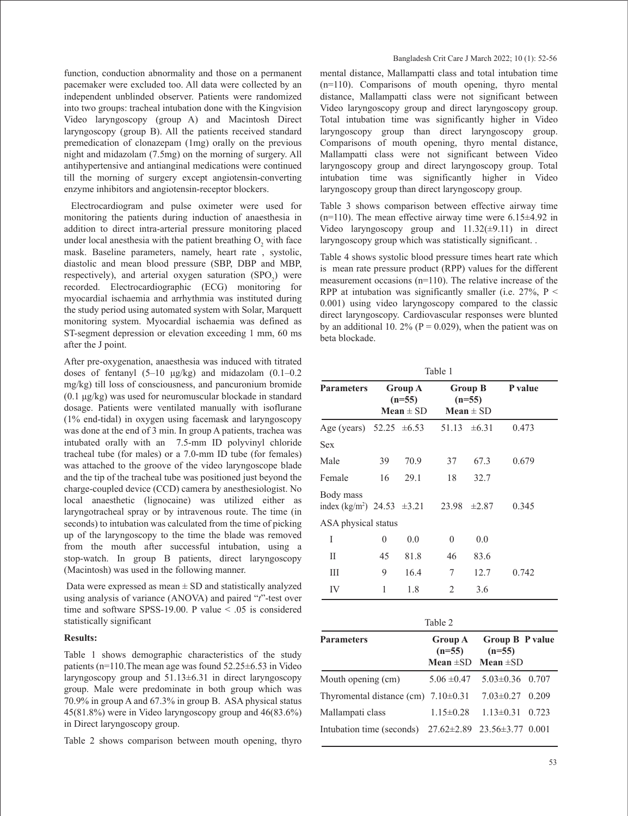function, conduction abnormality and those on a permanent pacemaker were excluded too. All data were collected by an independent unblinded observer. Patients were randomized into two groups: tracheal intubation done with the Kingvision Video laryngoscopy (group A) and Macintosh Direct laryngoscopy (group B). All the patients received standard premedication of clonazepam (1mg) orally on the previous night and midazolam (7.5mg) on the morning of surgery. All antihypertensive and antianginal medications were continued till the morning of surgery except angiotensin-converting enzyme inhibitors and angiotensin-receptor blockers.

 Electrocardiogram and pulse oximeter were used for monitoring the patients during induction of anaesthesia in addition to direct intra-arterial pressure monitoring placed under local anesthesia with the patient breathing  $O_2$  with face mask. Baseline parameters, namely, heart rate , systolic, diastolic and mean blood pressure (SBP, DBP and MBP, respectively), and arterial oxygen saturation  $(SPO<sub>2</sub>)$  were recorded. Electrocardiographic (ECG) monitoring for myocardial ischaemia and arrhythmia was instituted during the study period using automated system with Solar, Marquett monitoring system. Myocardial ischaemia was defined as ST-segment depression or elevation exceeding 1 mm, 60 ms after the J point.

After pre-oxygenation, anaesthesia was induced with titrated doses of fentanyl  $(5-10 \text{ µg/kg})$  and midazolam  $(0.1-0.2$ mg/kg) till loss of consciousness, and pancuronium bromide (0.1 μg/kg) was used for neuromuscular blockade in standard dosage. Patients were ventilated manually with isoflurane (1% end-tidal) in oxygen using facemask and laryngoscopy was done at the end of 3 min. In group A patients, trachea was intubated orally with an 7.5-mm ID polyvinyl chloride tracheal tube (for males) or a 7.0-mm ID tube (for females) was attached to the groove of the video laryngoscope blade and the tip of the tracheal tube was positioned just beyond the charge-coupled device (CCD) camera by anesthesiologist. No local anaesthetic (lignocaine) was utilized either as laryngotracheal spray or by intravenous route. The time (in seconds) to intubation was calculated from the time of picking up of the laryngoscopy to the time the blade was removed from the mouth after successful intubation, using a stop-watch. In group B patients, direct laryngoscopy (Macintosh) was used in the following manner.

Data were expressed as mean  $\pm$  SD and statistically analyzed using analysis of variance (ANOVA) and paired "*t*"-test over time and software SPSS-19.00. P value < .05 is considered statistically significant

#### **Results:**

Table 1 shows demographic characteristics of the study patients (n=110.The mean age was found 52.25±6.53 in Video laryngoscopy group and  $51.13\pm6.31$  in direct laryngoscopy group. Male were predominate in both group which was 70.9% in group A and 67.3% in group B. ASA physical status 45(81.8%) were in Video laryngoscopy group and 46(83.6%) in Direct laryngoscopy group.

Table 2 shows comparison between mouth opening, thyro

mental distance, Mallampatti class and total intubation time (n=110). Comparisons of mouth opening, thyro mental distance, Mallampatti class were not significant between Video laryngoscopy group and direct laryngoscopy group. Total intubation time was significantly higher in Video laryngoscopy group than direct laryngoscopy group. Comparisons of mouth opening, thyro mental distance, Mallampatti class were not significant between Video laryngoscopy group and direct laryngoscopy group. Total intubation time was significantly higher in Video laryngoscopy group than direct laryngoscopy group.

Table 3 shows comparison between effective airway time  $(n=110)$ . The mean effective airway time were  $6.15\pm4.92$  in Video laryngoscopy group and  $11.32(\pm 9.11)$  in direct laryngoscopy group which was statistically significant. .

Table 4 shows systolic blood pressure times heart rate which is mean rate pressure product (RPP) values for the different measurement occasions (n=110). The relative increase of the RPP at intubation was significantly smaller (i.e.  $27\%$ , P < 0.001) using video laryngoscopy compared to the classic direct laryngoscopy. Cardiovascular responses were blunted by an additional 10. 2% ( $P = 0.029$ ), when the patient was on beta blockade.

Table 1

| <b>Parameters</b>                                        | Group A<br>$(n=55)$<br>$Mean \pm SD$ |      | <b>Group B</b><br>$(n=55)$<br>Mean $\pm$ SD |            | P value |
|----------------------------------------------------------|--------------------------------------|------|---------------------------------------------|------------|---------|
| Age (years) 52.25 $\pm 6.53$                             |                                      |      | 51.13                                       | $\pm 6.31$ | 0.473   |
| Sex                                                      |                                      |      |                                             |            |         |
| Male                                                     | 39                                   | 70.9 | 37                                          | 67.3       | 0.679   |
| Female                                                   | 16                                   | 29.1 | 18                                          | 32.7       |         |
| Body mass<br>index (kg/m <sup>2</sup> ) 24.53 $\pm 3.21$ |                                      |      | 23.98                                       | $\pm 2.87$ | 0.345   |
| ASA physical status                                      |                                      |      |                                             |            |         |
| I                                                        | $\theta$                             | 0.0  | $\theta$                                    | 0.0        |         |
| П                                                        | 45                                   | 81.8 | 46                                          | 83.6       |         |
| Ш                                                        | 9                                    | 16.4 | 7                                           | 12.7       | 0.742   |
| IV                                                       | 1                                    | 1.8  | 2                                           | 3.6        |         |

|--|--|--|--|

| <b>Parameters</b>                                     | $(n=55)$        | Group A Group B P value<br>$(n=55)$   |  |
|-------------------------------------------------------|-----------------|---------------------------------------|--|
|                                                       |                 | Mean $\pm$ SD Mean $\pm$ SD           |  |
| Mouth opening (cm)                                    |                 | $5.06 \pm 0.47$ $5.03 \pm 0.36$ 0.707 |  |
| Thyromental distance (cm) $7.10\pm0.31$               |                 | $7.03 \pm 0.27$ 0.209                 |  |
| Mallampati class                                      | $1.15 \pm 0.28$ | $1.13 \pm 0.31$ 0.723                 |  |
| Intubation time (seconds) 27.62±2.89 23.56±3.77 0.001 |                 |                                       |  |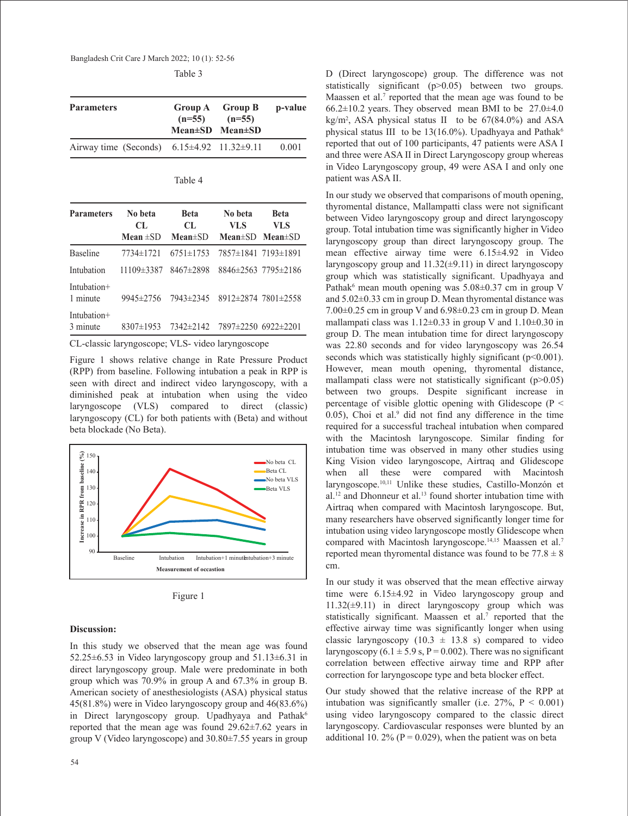Bangladesh Crit Care J March 2022; 10 (1): 52-56

| <b>Parameters</b>                                   | Group A Group B<br>$(n=55)$ $(n=55)$<br>$Mean \pm SD$ Mean $\pm SD$ | p-value |
|-----------------------------------------------------|---------------------------------------------------------------------|---------|
| Airway time (Seconds) $6.15\pm4.92$ 11.32 $\pm9.11$ |                                                                     | 0.001   |

Table 4

| <b>Parameters</b>       | No beta<br>CL   | <b>Beta</b><br>CL. | No beta<br>VLS      | <b>Beta</b><br>VLS              |
|-------------------------|-----------------|--------------------|---------------------|---------------------------------|
|                         | Mean $\pm$ SD   | $Mean \pm SD$      |                     | Mean $\pm$ SD Mean $\pm$ SD     |
| <b>Baseline</b>         | 7734±1721       | $6751 \pm 1753$    | 7857±1841 7193±1891 |                                 |
| Intubation              | 11109±3387      | 8467±2898          |                     | $8846 \pm 2563$ 7795 $\pm 2186$ |
| Intubation+<br>1 minute | $9945 \pm 2756$ | 7943±2345          |                     | 8912±2874 7801±2558             |
| Intubation+<br>3 minute | 8307±1953       | 7342±2142          | 7897±2250 6922±2201 |                                 |

CL-classic laryngoscope; VLS- video laryngoscope

Figure 1 shows relative change in Rate Pressure Product (RPP) from baseline. Following intubation a peak in RPP is seen with direct and indirect video laryngoscopy, with a diminished peak at intubation when using the video laryngoscope (VLS) compared to direct (classic) laryngoscopy (CL) for both patients with (Beta) and without beta blockade (No Beta).



Figure 1

### **Discussion:**

In this study we observed that the mean age was found 52.25±6.53 in Video laryngoscopy group and 51.13±6.31 in direct laryngoscopy group. Male were predominate in both group which was 70.9% in group A and 67.3% in group B. American society of anesthesiologists (ASA) physical status 45(81.8%) were in Video laryngoscopy group and 46(83.6%) in Direct laryngoscopy group. Upadhyaya and Pathak<sup>6</sup> reported that the mean age was found 29.62±7.62 years in group V (Video laryngoscope) and 30.80±7.55 years in group D (Direct laryngoscope) group. The difference was not statistically significant (p>0.05) between two groups. Maassen et al.<sup>7</sup> reported that the mean age was found to be  $66.2\pm10.2$  years. They observed mean BMI to be  $27.0\pm4.0$ kg/m2 , ASA physical status II to be 67(84.0%) and ASA physical status III to be  $13(16.0\%)$ . Upadhyaya and Pathak<sup>6</sup> reported that out of 100 participants, 47 patients were ASA I and three were ASA II in Direct Laryngoscopy group whereas in Video Laryngoscopy group, 49 were ASA I and only one patient was ASA II.

In our study we observed that comparisons of mouth opening, thyromental distance, Mallampatti class were not significant between Video laryngoscopy group and direct laryngoscopy group. Total intubation time was significantly higher in Video laryngoscopy group than direct laryngoscopy group. The mean effective airway time were 6.15±4.92 in Video laryngoscopy group and  $11.32(\pm 9.11)$  in direct laryngoscopy group which was statistically significant. Upadhyaya and Pathak<sup>6</sup> mean mouth opening was  $5.08 \pm 0.37$  cm in group V and 5.02±0.33 cm in group D. Mean thyromental distance was  $7.00\pm0.25$  cm in group V and  $6.98\pm0.23$  cm in group D. Mean mallampati class was  $1.12 \pm 0.33$  in group V and  $1.10 \pm 0.30$  in group D. The mean intubation time for direct laryngoscopy was 22.80 seconds and for video laryngoscopy was 26.54 seconds which was statistically highly significant (p<0.001). However, mean mouth opening, thyromental distance, mallampati class were not statistically significant  $(p>0.05)$ between two groups. Despite significant increase in percentage of visible glottic opening with Glidescope (P <  $(0.05)$ , Choi et al. $9$  did not find any difference in the time required for a successful tracheal intubation when compared with the Macintosh laryngoscope. Similar finding for intubation time was observed in many other studies using King Vision video laryngoscope, Airtraq and Glidescope when all these were compared with Macintosh laryngoscope.10,11 Unlike these studies, Castillo-Monzón et al.<sup>12</sup> and Dhonneur et al.<sup>13</sup> found shorter intubation time with Airtraq when compared with Macintosh laryngoscope. But, many researchers have observed significantly longer time for intubation using video laryngoscope mostly Glidescope when compared with Macintosh laryngoscope.<sup>14,15</sup> Maassen et al.<sup>7</sup> reported mean thyromental distance was found to be  $77.8 \pm 8$ cm.

In our study it was observed that the mean effective airway time were 6.15±4.92 in Video laryngoscopy group and 11.32(±9.11) in direct laryngoscopy group which was statistically significant. Maassen et al.<sup>7</sup> reported that the effective airway time was significantly longer when using classic laryngoscopy  $(10.3 \pm 13.8 \text{ s})$  compared to video laryngoscopy  $(6.1 \pm 5.9 \text{ s}, P = 0.002)$ . There was no significant correlation between effective airway time and RPP after correction for laryngoscope type and beta blocker effect.

Our study showed that the relative increase of the RPP at intubation was significantly smaller (i.e.  $27\%$ ,  $P < 0.001$ ) using video laryngoscopy compared to the classic direct laryngoscopy. Cardiovascular responses were blunted by an additional 10. 2% ( $P = 0.029$ ), when the patient was on beta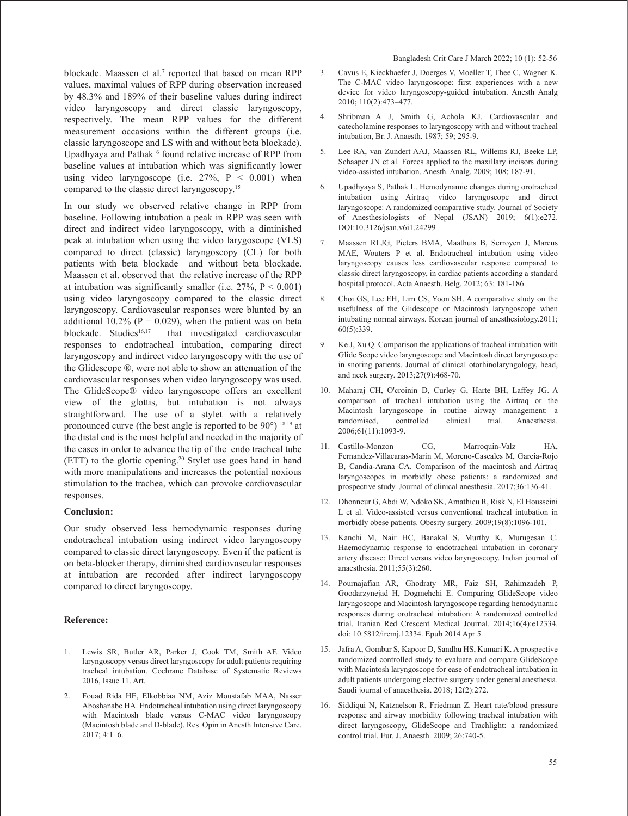blockade. Maassen et al.<sup>7</sup> reported that based on mean RPP values, maximal values of RPP during observation increased by 48.3% and 189% of their baseline values during indirect video laryngoscopy and direct classic laryngoscopy, respectively. The mean RPP values for the different measurement occasions within the different groups (i.e. classic laryngoscope and LS with and without beta blockade). Upadhyaya and Pathak <sup>6</sup> found relative increase of RPP from baseline values at intubation which was significantly lower using video laryngoscope (i.e.  $27\%$ ,  $P \leq 0.001$ ) when compared to the classic direct laryngoscopy.15

In our study we observed relative change in RPP from baseline. Following intubation a peak in RPP was seen with direct and indirect video laryngoscopy, with a diminished peak at intubation when using the video larygoscope (VLS) compared to direct (classic) laryngoscopy (CL) for both patients with beta blockade and without beta blockade. Maassen et al. observed that the relative increase of the RPP at intubation was significantly smaller (i.e.  $27\%$ ,  $P < 0.001$ ) using video laryngoscopy compared to the classic direct laryngoscopy. Cardiovascular responses were blunted by an additional 10.2% ( $P = 0.029$ ), when the patient was on beta<br>blockade. Studies<sup>16,17</sup> that investigated cardiovascular that investigated cardiovascular responses to endotracheal intubation, comparing direct laryngoscopy and indirect video laryngoscopy with the use of the Glidescope ®, were not able to show an attenuation of the cardiovascular responses when video laryngoscopy was used. The GlideScope® video laryngoscope offers an excellent view of the glottis, but intubation is not always straightforward. The use of a stylet with a relatively pronounced curve (the best angle is reported to be 90°) 18,19 at the distal end is the most helpful and needed in the majority of the cases in order to advance the tip of the endo tracheal tube (ETT) to the glottic opening.20 Stylet use goes hand in hand with more manipulations and increases the potential noxious stimulation to the trachea, which can provoke cardiovascular responses.

#### **Conclusion:**

Our study observed less hemodynamic responses during endotracheal intubation using indirect video laryngoscopy compared to classic direct laryngoscopy. Even if the patient is on beta-blocker therapy, diminished cardiovascular responses at intubation are recorded after indirect laryngoscopy compared to direct laryngoscopy.

#### **Reference:**

- 1. Lewis SR, Butler AR, Parker J, Cook TM, Smith AF. Video laryngoscopy versus direct laryngoscopy for adult patients requiring tracheal intubation. Cochrane Database of Systematic Reviews 2016, Issue 11. Art.
- 2. Fouad Rida HE, Elkobbiaa NM, Aziz Moustafab MAA, Nasser Aboshanabc HA. Endotracheal intubation using direct laryngoscopy with Macintosh blade versus C-MAC video laryngoscopy (Macintosh blade and D-blade). Res Opin in Anesth Intensive Care. 2017; 4:1–6.
- 3. Cavus E, Kieckhaefer J, Doerges V, Moeller T, Thee C, Wagner K. The C-MAC video laryngoscope: first experiences with a new device for video laryngoscopy-guided intubation. Anesth Analg 2010; 110(2):473–477.
- 4. Shribman A J, Smith G, Achola KJ. Cardiovascular and catecholamine responses to laryngoscopy with and without tracheal intubation, Br. J. Anaesth. 1987; 59; 295-9.
- 5. Lee RA, van Zundert AAJ, Maassen RL, Willems RJ, Beeke LP, Schaaper JN et al. Forces applied to the maxillary incisors during video-assisted intubation. Anesth. Analg. 2009; 108; 187-91.
- 6. Upadhyaya S, Pathak L. Hemodynamic changes during orotracheal intubation using Airtraq video laryngoscope and direct laryngoscope: A randomized comparative study. Journal of Society of Anesthesiologists of Nepal (JSAN) 2019; 6(1):e272. DOI:10.3126/jsan.v6i1.24299
- 7. Maassen RLJG, Pieters BMA, Maathuis B, Serroyen J, Marcus MAE, Wouters P et al. Endotracheal intubation using video laryngoscopy causes less cardiovascular response compared to classic direct laryngoscopy, in cardiac patients according a standard hospital protocol. Acta Anaesth. Belg. 2012; 63: 181-186.
- 8. Choi GS, Lee EH, Lim CS, Yoon SH. A comparative study on the usefulness of the Glidescope or Macintosh laryngoscope when intubating normal airways. Korean journal of anesthesiology.2011; 60(5):339.
- 9. Ke J, Xu Q. Comparison the applications of tracheal intubation with Glide Scope video laryngoscope and Macintosh direct laryngoscope in snoring patients. Journal of clinical otorhinolaryngology, head, and neck surgery. 2013;27(9):468-70.
- 10. Maharaj CH, O'croinin D, Curley G, Harte BH, Laffey JG. A comparison of tracheal intubation using the Airtraq or the Macintosh laryngoscope in routine airway management: a randomised, controlled clinical trial. Anaesthesia. 2006;61(11):1093-9.
- 11. Castillo-Monzon CG, Marroquin-Valz HA, Fernandez-Villacanas-Marin M, Moreno-Cascales M, Garcia-Rojo B, Candia-Arana CA. Comparison of the macintosh and Airtraq laryngoscopes in morbidly obese patients: a randomized and prospective study. Journal of clinical anesthesia. 2017;36:136-41.
- 12. Dhonneur G, Abdi W, Ndoko SK, Amathieu R, Risk N, El Housseini L et al. Video-assisted versus conventional tracheal intubation in morbidly obese patients. Obesity surgery. 2009;19(8):1096-101.
- 13. Kanchi M, Nair HC, Banakal S, Murthy K, Murugesan C. Haemodynamic response to endotracheal intubation in coronary artery disease: Direct versus video laryngoscopy. Indian journal of anaesthesia. 2011;55(3):260.
- 14. Pournajafian AR, Ghodraty MR, Faiz SH, Rahimzadeh P, Goodarzynejad H, Dogmehchi E. Comparing GlideScope video laryngoscope and Macintosh laryngoscope regarding hemodynamic responses during orotracheal intubation: A randomized controlled trial. Iranian Red Crescent Medical Journal. 2014;16(4):e12334. doi: 10.5812/ircmj.12334. Epub 2014 Apr 5.
- 15. Jafra A, Gombar S, Kapoor D, Sandhu HS, Kumari K. A prospective randomized controlled study to evaluate and compare GlideScope with Macintosh laryngoscope for ease of endotracheal intubation in adult patients undergoing elective surgery under general anesthesia. Saudi journal of anaesthesia. 2018; 12(2):272.
- 16. Siddiqui N, Katznelson R, Friedman Z. Heart rate/blood pressure response and airway morbidity following tracheal intubation with direct laryngoscopy, GlideScope and Trachlight: a randomized control trial. Eur. J. Anaesth. 2009; 26:740-5.